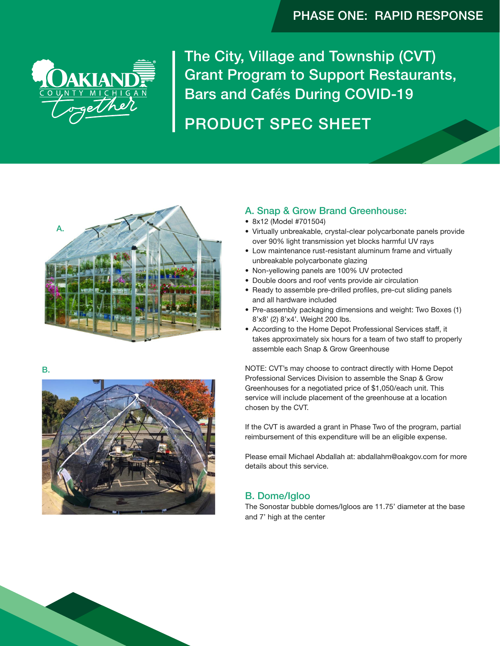# PHASE ONE: RAPID RESPONSE



The City, Village and Township (CVT) Grant Program to Support Restaurants, Bars and Cafés During COVID-19

# PRODUCT SPEC SHEET



B.



### A. Snap & Grow Brand Greenhouse:

- 8x12 (Model #701504)
- Virtually unbreakable, crystal-clear polycarbonate panels provide over 90% light transmission yet blocks harmful UV rays
- Low maintenance rust-resistant aluminum frame and virtually unbreakable polycarbonate glazing
- Non-yellowing panels are 100% UV protected
- Double doors and roof vents provide air circulation
- Ready to assemble pre-drilled profiles, pre-cut sliding panels and all hardware included
- Pre-assembly packaging dimensions and weight: Two Boxes (1) 8'x8' (2) 8'x4'. Weight 200 lbs.
- According to the Home Depot Professional Services staff, it takes approximately six hours for a team of two staff to properly assemble each Snap & Grow Greenhouse

NOTE: CVT's may choose to contract directly with Home Depot Professional Services Division to assemble the Snap & Grow Greenhouses for a negotiated price of \$1,050/each unit. This service will include placement of the greenhouse at a location chosen by the CVT.

If the CVT is awarded a grant in Phase Two of the program, partial reimbursement of this expenditure will be an eligible expense.

Please email Michael Abdallah at: abdallahm@oakgov.com for more details about this service.

### B. Dome/Igloo

The Sonostar bubble domes/Igloos are 11.75' diameter at the base and 7' high at the center